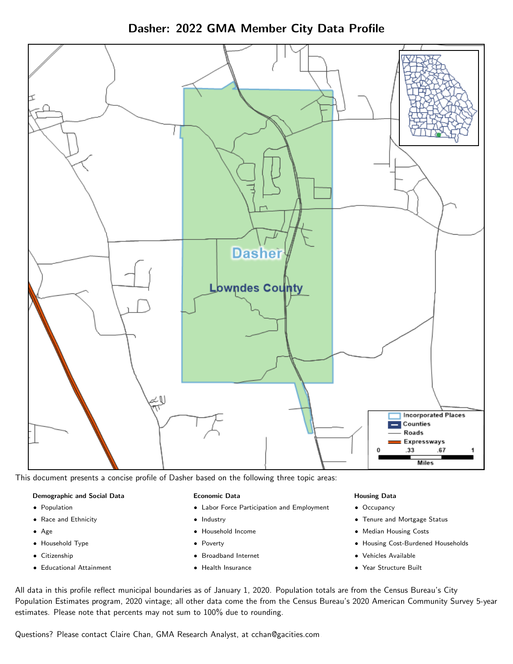

Dasher: 2022 GMA Member City Data Profile

This document presents a concise profile of Dasher based on the following three topic areas:

#### Demographic and Social Data

- **•** Population
- Race and Ethnicity
- Age
- Household Type
- **Citizenship**
- Educational Attainment

## Economic Data

- Labor Force Participation and Employment
- Industry
- Household Income
- Poverty
- Broadband Internet
- Health Insurance

#### Housing Data

- Occupancy
- Tenure and Mortgage Status
- Median Housing Costs
- Housing Cost-Burdened Households
- Vehicles Available
- Year Structure Built

All data in this profile reflect municipal boundaries as of January 1, 2020. Population totals are from the Census Bureau's City Population Estimates program, 2020 vintage; all other data come the from the Census Bureau's 2020 American Community Survey 5-year estimates. Please note that percents may not sum to 100% due to rounding.

Questions? Please contact Claire Chan, GMA Research Analyst, at [cchan@gacities.com.](mailto:cchan@gacities.com)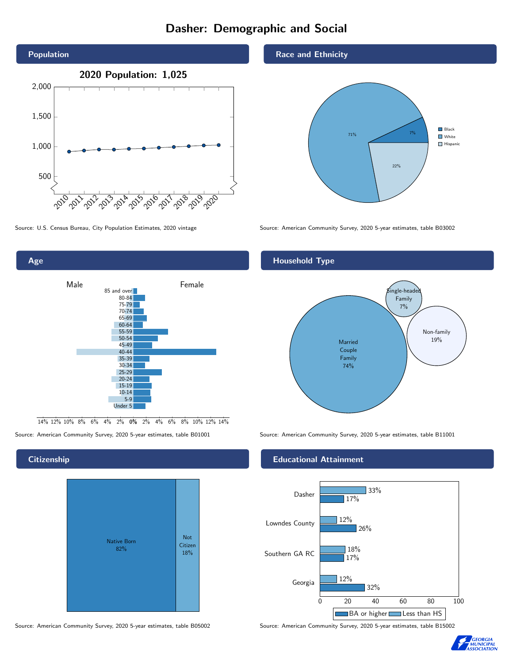# Dasher: Demographic and Social





**Citizenship** 



Source: American Community Survey, 2020 5-year estimates, table B05002 Source: American Community Survey, 2020 5-year estimates, table B15002

### Race and Ethnicity



Source: U.S. Census Bureau, City Population Estimates, 2020 vintage Source: American Community Survey, 2020 5-year estimates, table B03002

## Household Type



Source: American Community Survey, 2020 5-year estimates, table B01001 Source: American Community Survey, 2020 5-year estimates, table B11001

### Educational Attainment



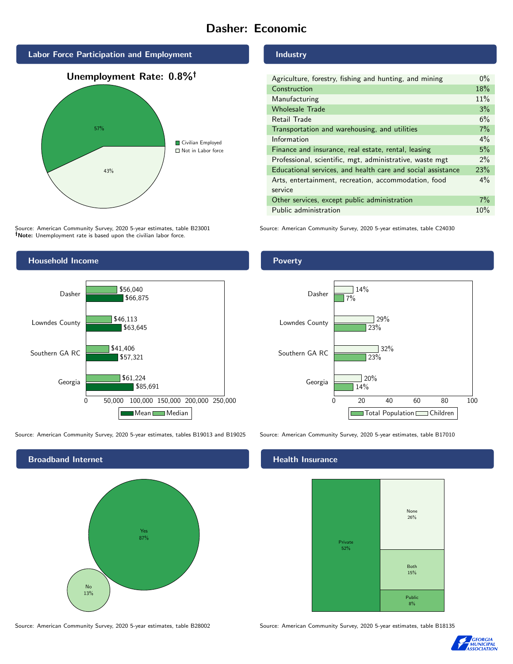# Dasher: Economic



Source: American Community Survey, 2020 5-year estimates, table B23001 Note: Unemployment rate is based upon the civilian labor force.



Source: American Community Survey, 2020 5-year estimates, tables B19013 and B19025 Source: American Community Survey, 2020 5-year estimates, table B17010



#### Industry

| Agriculture, forestry, fishing and hunting, and mining      | $0\%$ |
|-------------------------------------------------------------|-------|
| Construction                                                | 18%   |
| Manufacturing                                               | 11%   |
| <b>Wholesale Trade</b>                                      | 3%    |
| Retail Trade                                                | 6%    |
| Transportation and warehousing, and utilities               | 7%    |
| Information                                                 | $4\%$ |
| Finance and insurance, real estate, rental, leasing         | 5%    |
| Professional, scientific, mgt, administrative, waste mgt    | $2\%$ |
| Educational services, and health care and social assistance | 23%   |
| Arts, entertainment, recreation, accommodation, food        | $4\%$ |
| service                                                     |       |
| Other services, except public administration                | $7\%$ |
| Public administration                                       | 10%   |

Source: American Community Survey, 2020 5-year estimates, table C24030

## Poverty



## **Health Insurance**



Source: American Community Survey, 2020 5-year estimates, table B28002 Source: American Community Survey, 2020 5-year estimates, table B18135